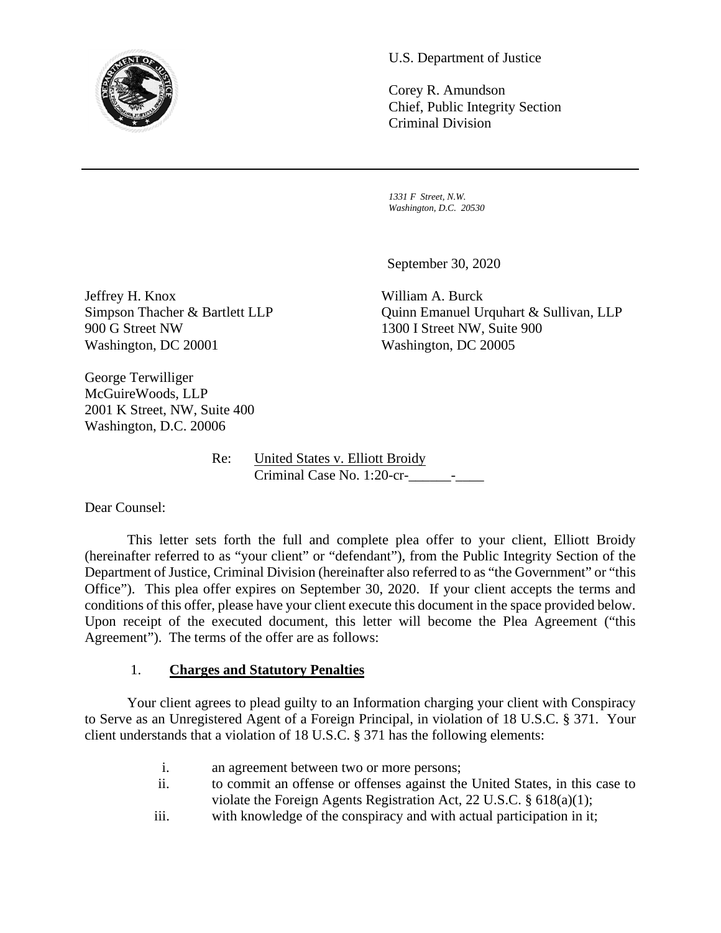

U.S. Department of Justice

Corey R. Amundson Chief, Public Integrity Section Criminal Division

*1331 F Street, N.W. Washington, D.C. 20530*

September 30, 2020

Jeffrey H. Knox William A. Burck 900 G Street NW 1300 I Street NW, Suite 900 Washington, DC 20001 Washington, DC 20005

Simpson Thacher & Bartlett LLP Quinn Emanuel Urquhart & Sullivan, LLP

George Terwilliger McGuireWoods, LLP 2001 K Street, NW, Suite 400 Washington, D.C. 20006

> Re: United States v. Elliott Broidy Criminal Case No. 1:20-cr-\_\_\_\_\_\_-\_\_\_\_

Dear Counsel:

This letter sets forth the full and complete plea offer to your client, Elliott Broidy (hereinafter referred to as "your client" or "defendant"), from the Public Integrity Section of the Department of Justice, Criminal Division (hereinafter also referred to as "the Government" or "this Office"). This plea offer expires on September 30, 2020. If your client accepts the terms and conditions of this offer, please have your client execute this document in the space provided below. Upon receipt of the executed document, this letter will become the Plea Agreement ("this Agreement"). The terms of the offer are as follows:

# 1. **Charges and Statutory Penalties**

Your client agrees to plead guilty to an Information charging your client with Conspiracy to Serve as an Unregistered Agent of a Foreign Principal, in violation of 18 U.S.C. § 371. Your client understands that a violation of 18 U.S.C. § 371 has the following elements:

- i. an agreement between two or more persons;
- ii. to commit an offense or offenses against the United States, in this case to violate the Foreign Agents Registration Act, 22 U.S.C. § 618(a)(1);
- iii. with knowledge of the conspiracy and with actual participation in it;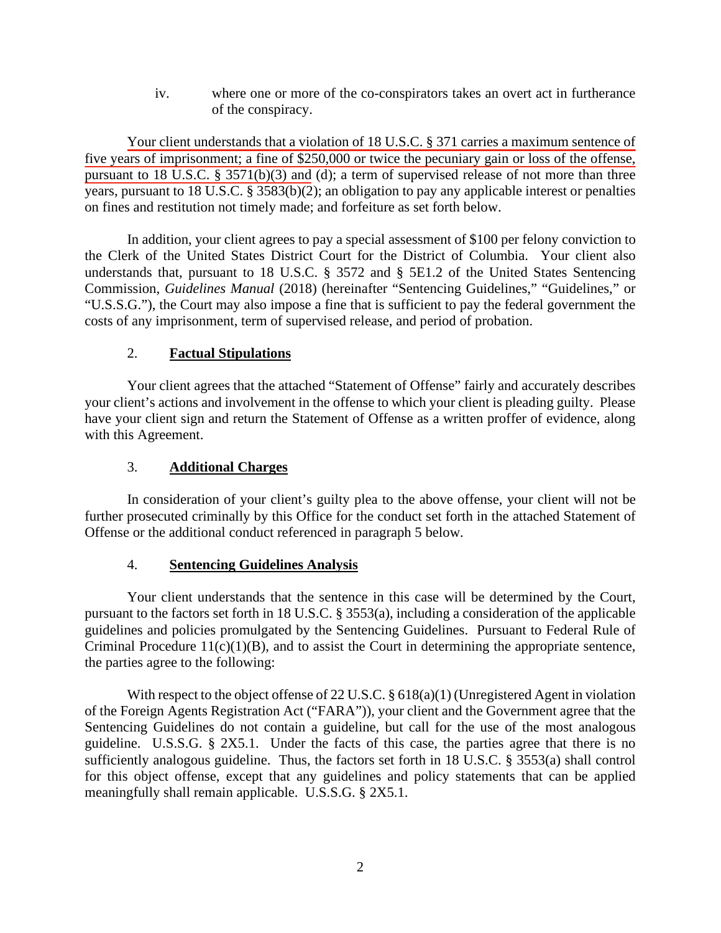iv. where one or more of the co-conspirators takes an overt act in furtherance of the conspiracy.

Your client understands that a violation of 18 U.S.C. § 371 carries a maximum sentence of five years of imprisonment; a fine of \$250,000 or twice the pecuniary gain or loss of the offense, pursuant to 18 U.S.C. § 3571(b)(3) and (d); a term of supervised release of not more than three years, pursuant to 18 U.S.C. §  $3583(b)(2)$ ; an obligation to pay any applicable interest or penalties on fines and restitution not timely made; and forfeiture as set forth below.

In addition, your client agrees to pay a special assessment of \$100 per felony conviction to the Clerk of the United States District Court for the District of Columbia. Your client also understands that, pursuant to 18 U.S.C. § 3572 and § 5E1.2 of the United States Sentencing Commission, *Guidelines Manual* (2018) (hereinafter "Sentencing Guidelines," "Guidelines," or "U.S.S.G."), the Court may also impose a fine that is sufficient to pay the federal government the costs of any imprisonment, term of supervised release, and period of probation.

# 2. **Factual Stipulations**

Your client agrees that the attached "Statement of Offense" fairly and accurately describes your client's actions and involvement in the offense to which your client is pleading guilty. Please have your client sign and return the Statement of Offense as a written proffer of evidence, along with this Agreement.

# 3. **Additional Charges**

In consideration of your client's guilty plea to the above offense, your client will not be further prosecuted criminally by this Office for the conduct set forth in the attached Statement of Offense or the additional conduct referenced in paragraph 5 below.

# 4. **Sentencing Guidelines Analysis**

Your client understands that the sentence in this case will be determined by the Court, pursuant to the factors set forth in 18 U.S.C. § 3553(a), including a consideration of the applicable guidelines and policies promulgated by the Sentencing Guidelines. Pursuant to Federal Rule of Criminal Procedure  $11(c)(1)(B)$ , and to assist the Court in determining the appropriate sentence, the parties agree to the following:

With respect to the object offense of 22 U.S.C. § 618(a)(1) (Unregistered Agent in violation of the Foreign Agents Registration Act ("FARA")), your client and the Government agree that the Sentencing Guidelines do not contain a guideline, but call for the use of the most analogous guideline. U.S.S.G. § 2X5.1. Under the facts of this case, the parties agree that there is no sufficiently analogous guideline. Thus, the factors set forth in 18 U.S.C. § 3553(a) shall control for this object offense, except that any guidelines and policy statements that can be applied meaningfully shall remain applicable. U.S.S.G. § 2X5.1.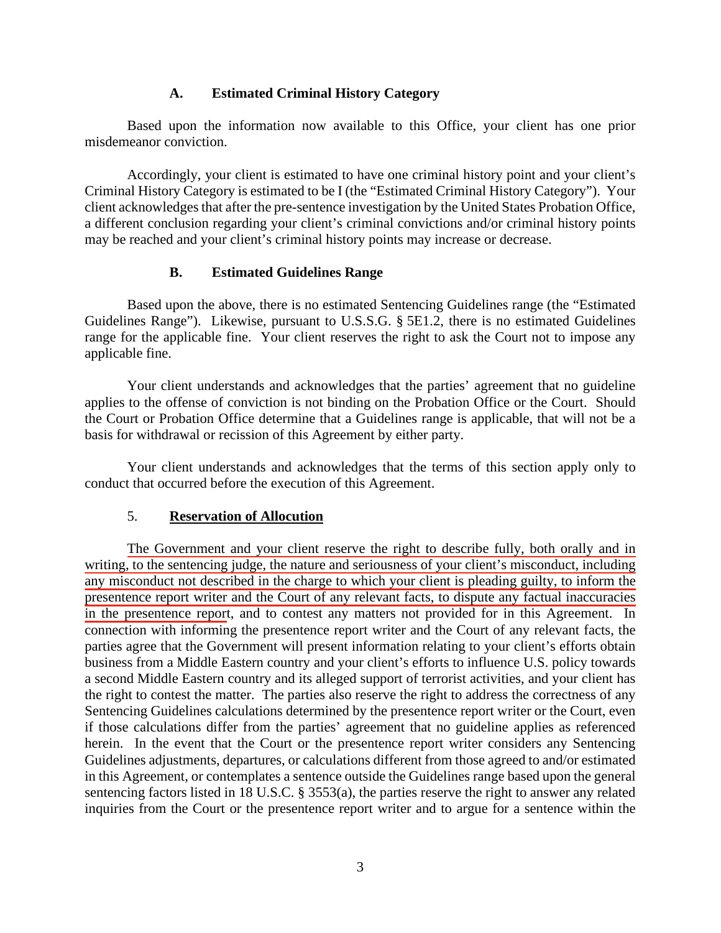#### **A. Estimated Criminal History Category**

Based upon the information now available to this Office, your client has one prior misdemeanor conviction.

Accordingly, your client is estimated to have one criminal history point and your client's Criminal History Category is estimated to be I (the "Estimated Criminal History Category"). Your client acknowledges that after the pre-sentence investigation by the United States Probation Office, a different conclusion regarding your client's criminal convictions and/or criminal history points may be reached and your client's criminal history points may increase or decrease.

## **B. Estimated Guidelines Range**

Based upon the above, there is no estimated Sentencing Guidelines range (the "Estimated Guidelines Range"). Likewise, pursuant to U.S.S.G. § 5E1.2, there is no estimated Guidelines range for the applicable fine. Your client reserves the right to ask the Court not to impose any applicable fine.

Your client understands and acknowledges that the parties' agreement that no guideline applies to the offense of conviction is not binding on the Probation Office or the Court. Should the Court or Probation Office determine that a Guidelines range is applicable, that will not be a basis for withdrawal or recission of this Agreement by either party.

Your client understands and acknowledges that the terms of this section apply only to conduct that occurred before the execution of this Agreement.

#### 5. **Reservation of Allocution**

The Government and your client reserve the right to describe fully, both orally and in writing, to the sentencing judge, the nature and seriousness of your client's misconduct, including any misconduct not described in the charge to which your client is pleading guilty, to inform the presentence report writer and the Court of any relevant facts, to dispute any factual inaccuracies in the presentence report, and to contest any matters not provided for in this Agreement. In connection with informing the presentence report writer and the Court of any relevant facts, the parties agree that the Government will present information relating to your client's efforts obtain business from a Middle Eastern country and your client's efforts to influence U.S. policy towards a second Middle Eastern country and its alleged support of terrorist activities, and your client has the right to contest the matter. The parties also reserve the right to address the correctness of any Sentencing Guidelines calculations determined by the presentence report writer or the Court, even if those calculations differ from the parties' agreement that no guideline applies as referenced herein. In the event that the Court or the presentence report writer considers any Sentencing Guidelines adjustments, departures, or calculations different from those agreed to and/or estimated in this Agreement, or contemplates a sentence outside the Guidelines range based upon the general sentencing factors listed in 18 U.S.C. § 3553(a), the parties reserve the right to answer any related inquiries from the Court or the presentence report writer and to argue for a sentence within the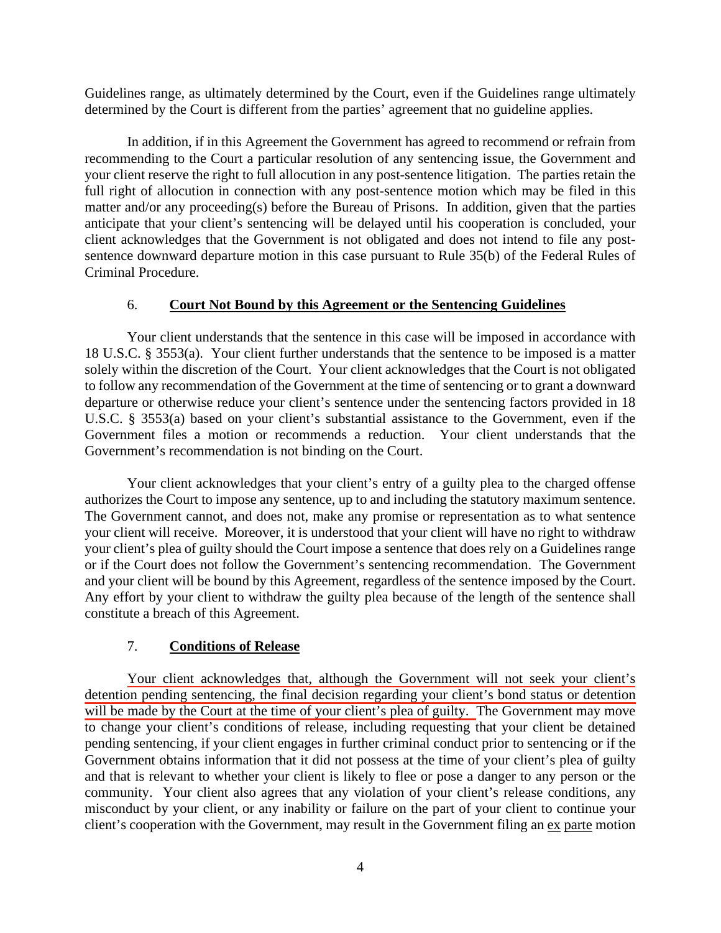Guidelines range, as ultimately determined by the Court, even if the Guidelines range ultimately determined by the Court is different from the parties' agreement that no guideline applies.

In addition, if in this Agreement the Government has agreed to recommend or refrain from recommending to the Court a particular resolution of any sentencing issue, the Government and your client reserve the right to full allocution in any post-sentence litigation. The parties retain the full right of allocution in connection with any post-sentence motion which may be filed in this matter and/or any proceeding(s) before the Bureau of Prisons. In addition, given that the parties anticipate that your client's sentencing will be delayed until his cooperation is concluded, your client acknowledges that the Government is not obligated and does not intend to file any postsentence downward departure motion in this case pursuant to Rule 35(b) of the Federal Rules of Criminal Procedure.

## 6. **Court Not Bound by this Agreement or the Sentencing Guidelines**

Your client understands that the sentence in this case will be imposed in accordance with 18 U.S.C. § 3553(a). Your client further understands that the sentence to be imposed is a matter solely within the discretion of the Court. Your client acknowledges that the Court is not obligated to follow any recommendation of the Government at the time of sentencing or to grant a downward departure or otherwise reduce your client's sentence under the sentencing factors provided in 18 U.S.C. § 3553(a) based on your client's substantial assistance to the Government, even if the Government files a motion or recommends a reduction. Your client understands that the Government's recommendation is not binding on the Court.

Your client acknowledges that your client's entry of a guilty plea to the charged offense authorizes the Court to impose any sentence, up to and including the statutory maximum sentence. The Government cannot, and does not, make any promise or representation as to what sentence your client will receive. Moreover, it is understood that your client will have no right to withdraw your client's plea of guilty should the Court impose a sentence that does rely on a Guidelines range or if the Court does not follow the Government's sentencing recommendation. The Government and your client will be bound by this Agreement, regardless of the sentence imposed by the Court. Any effort by your client to withdraw the guilty plea because of the length of the sentence shall constitute a breach of this Agreement.

# 7. **Conditions of Release**

Your client acknowledges that, although the Government will not seek your client's detention pending sentencing, the final decision regarding your client's bond status or detention will be made by the Court at the time of your client's plea of guilty. The Government may move to change your client's conditions of release, including requesting that your client be detained pending sentencing, if your client engages in further criminal conduct prior to sentencing or if the Government obtains information that it did not possess at the time of your client's plea of guilty and that is relevant to whether your client is likely to flee or pose a danger to any person or the community. Your client also agrees that any violation of your client's release conditions, any misconduct by your client, or any inability or failure on the part of your client to continue your client's cooperation with the Government, may result in the Government filing an ex parte motion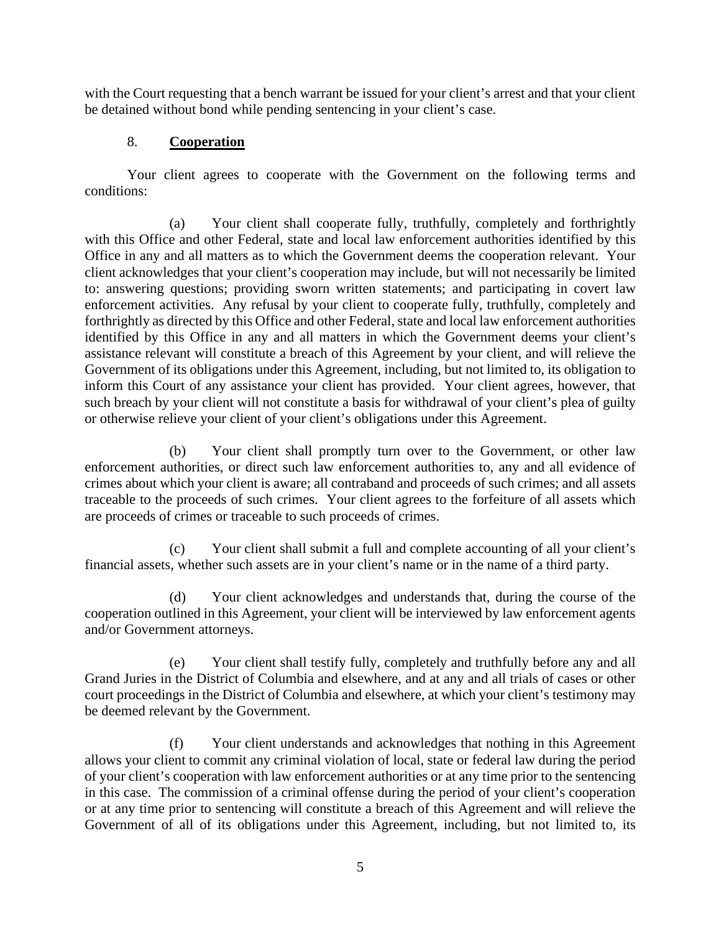with the Court requesting that a bench warrant be issued for your client's arrest and that your client be detained without bond while pending sentencing in your client's case.

# 8. **Cooperation**

Your client agrees to cooperate with the Government on the following terms and conditions:

(a) Your client shall cooperate fully, truthfully, completely and forthrightly with this Office and other Federal, state and local law enforcement authorities identified by this Office in any and all matters as to which the Government deems the cooperation relevant. Your client acknowledges that your client's cooperation may include, but will not necessarily be limited to: answering questions; providing sworn written statements; and participating in covert law enforcement activities. Any refusal by your client to cooperate fully, truthfully, completely and forthrightly as directed by this Office and other Federal, state and local law enforcement authorities identified by this Office in any and all matters in which the Government deems your client's assistance relevant will constitute a breach of this Agreement by your client, and will relieve the Government of its obligations under this Agreement, including, but not limited to, its obligation to inform this Court of any assistance your client has provided. Your client agrees, however, that such breach by your client will not constitute a basis for withdrawal of your client's plea of guilty or otherwise relieve your client of your client's obligations under this Agreement.

(b) Your client shall promptly turn over to the Government, or other law enforcement authorities, or direct such law enforcement authorities to, any and all evidence of crimes about which your client is aware; all contraband and proceeds of such crimes; and all assets traceable to the proceeds of such crimes. Your client agrees to the forfeiture of all assets which are proceeds of crimes or traceable to such proceeds of crimes.

(c) Your client shall submit a full and complete accounting of all your client's financial assets, whether such assets are in your client's name or in the name of a third party.

(d) Your client acknowledges and understands that, during the course of the cooperation outlined in this Agreement, your client will be interviewed by law enforcement agents and/or Government attorneys.

(e) Your client shall testify fully, completely and truthfully before any and all Grand Juries in the District of Columbia and elsewhere, and at any and all trials of cases or other court proceedings in the District of Columbia and elsewhere, at which your client's testimony may be deemed relevant by the Government.

(f) Your client understands and acknowledges that nothing in this Agreement allows your client to commit any criminal violation of local, state or federal law during the period of your client's cooperation with law enforcement authorities or at any time prior to the sentencing in this case. The commission of a criminal offense during the period of your client's cooperation or at any time prior to sentencing will constitute a breach of this Agreement and will relieve the Government of all of its obligations under this Agreement, including, but not limited to, its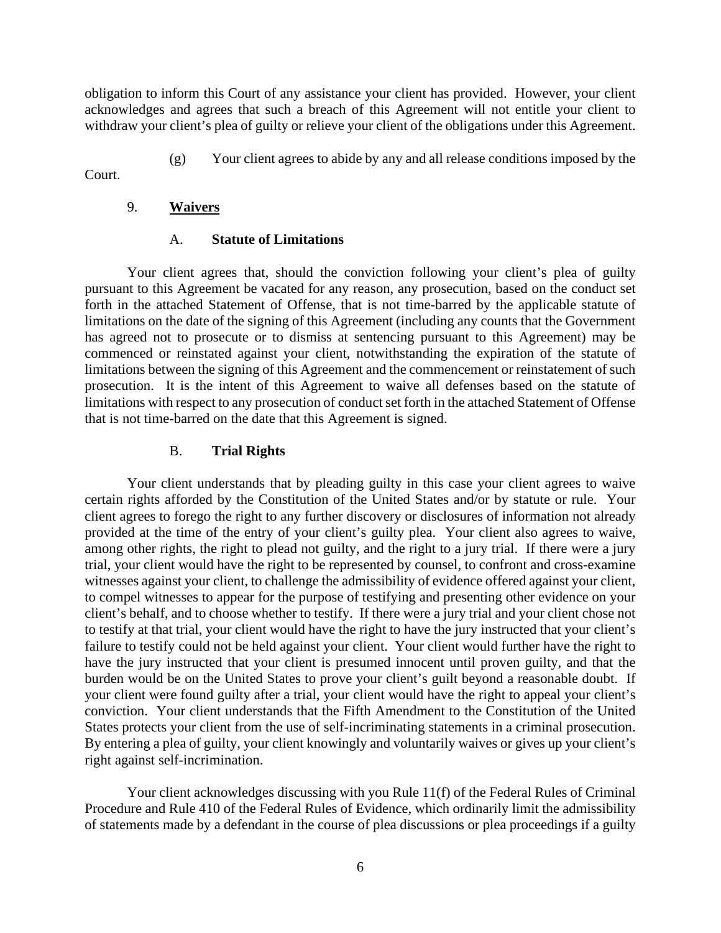obligation to inform this Court of any assistance your client has provided. However, your client acknowledges and agrees that such a breach of this Agreement will not entitle your client to withdraw your client's plea of guilty or relieve your client of the obligations under this Agreement.

Court.

(g) Your client agrees to abide by any and all release conditions imposed by the

## 9. **Waivers**

## A. **Statute of Limitations**

Your client agrees that, should the conviction following your client's plea of guilty pursuant to this Agreement be vacated for any reason, any prosecution, based on the conduct set forth in the attached Statement of Offense, that is not time-barred by the applicable statute of limitations on the date of the signing of this Agreement (including any counts that the Government has agreed not to prosecute or to dismiss at sentencing pursuant to this Agreement) may be commenced or reinstated against your client, notwithstanding the expiration of the statute of limitations between the signing of this Agreement and the commencement or reinstatement of such prosecution. It is the intent of this Agreement to waive all defenses based on the statute of limitations with respect to any prosecution of conduct set forth in the attached Statement of Offense that is not time-barred on the date that this Agreement is signed.

## B. **Trial Rights**

Your client understands that by pleading guilty in this case your client agrees to waive certain rights afforded by the Constitution of the United States and/or by statute or rule. Your client agrees to forego the right to any further discovery or disclosures of information not already provided at the time of the entry of your client's guilty plea. Your client also agrees to waive, among other rights, the right to plead not guilty, and the right to a jury trial. If there were a jury trial, your client would have the right to be represented by counsel, to confront and cross-examine witnesses against your client, to challenge the admissibility of evidence offered against your client, to compel witnesses to appear for the purpose of testifying and presenting other evidence on your client's behalf, and to choose whether to testify. If there were a jury trial and your client chose not to testify at that trial, your client would have the right to have the jury instructed that your client's failure to testify could not be held against your client. Your client would further have the right to have the jury instructed that your client is presumed innocent until proven guilty, and that the burden would be on the United States to prove your client's guilt beyond a reasonable doubt. If your client were found guilty after a trial, your client would have the right to appeal your client's conviction. Your client understands that the Fifth Amendment to the Constitution of the United States protects your client from the use of self-incriminating statements in a criminal prosecution. By entering a plea of guilty, your client knowingly and voluntarily waives or gives up your client's right against self-incrimination.

Your client acknowledges discussing with you Rule 11(f) of the Federal Rules of Criminal Procedure and Rule 410 of the Federal Rules of Evidence, which ordinarily limit the admissibility of statements made by a defendant in the course of plea discussions or plea proceedings if a guilty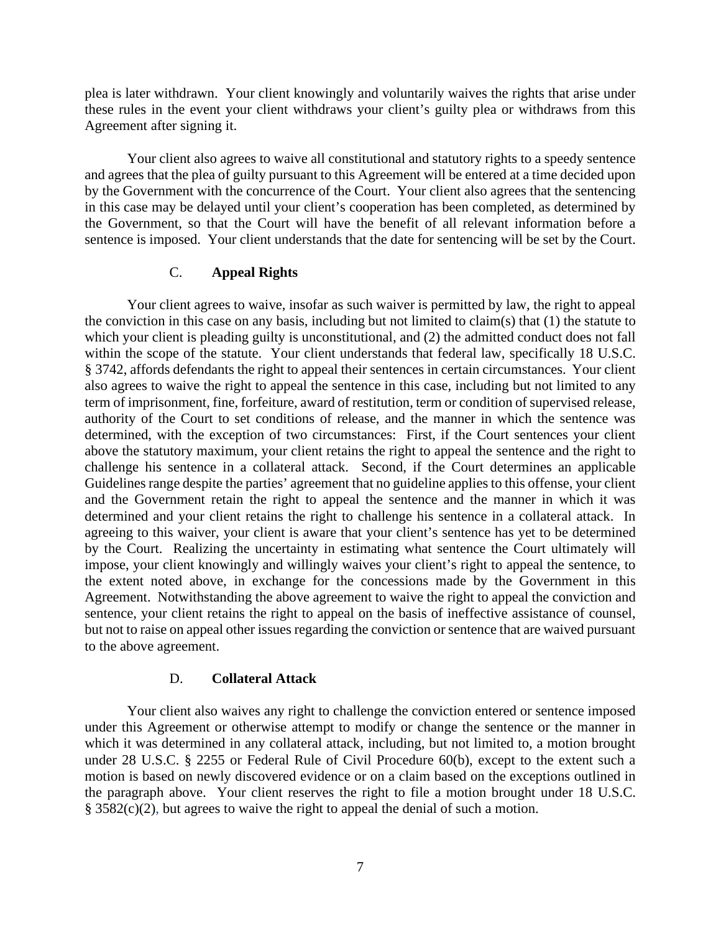plea is later withdrawn. Your client knowingly and voluntarily waives the rights that arise under these rules in the event your client withdraws your client's guilty plea or withdraws from this Agreement after signing it.

Your client also agrees to waive all constitutional and statutory rights to a speedy sentence and agrees that the plea of guilty pursuant to this Agreement will be entered at a time decided upon by the Government with the concurrence of the Court. Your client also agrees that the sentencing in this case may be delayed until your client's cooperation has been completed, as determined by the Government, so that the Court will have the benefit of all relevant information before a sentence is imposed. Your client understands that the date for sentencing will be set by the Court.

## C. **Appeal Rights**

Your client agrees to waive, insofar as such waiver is permitted by law, the right to appeal the conviction in this case on any basis, including but not limited to claim(s) that (1) the statute to which your client is pleading guilty is unconstitutional, and (2) the admitted conduct does not fall within the scope of the statute. Your client understands that federal law, specifically 18 U.S.C. § 3742, affords defendants the right to appeal their sentences in certain circumstances. Your client also agrees to waive the right to appeal the sentence in this case, including but not limited to any term of imprisonment, fine, forfeiture, award of restitution, term or condition of supervised release, authority of the Court to set conditions of release, and the manner in which the sentence was determined, with the exception of two circumstances: First, if the Court sentences your client above the statutory maximum, your client retains the right to appeal the sentence and the right to challenge his sentence in a collateral attack. Second, if the Court determines an applicable Guidelines range despite the parties' agreement that no guideline applies to this offense, your client and the Government retain the right to appeal the sentence and the manner in which it was determined and your client retains the right to challenge his sentence in a collateral attack. In agreeing to this waiver, your client is aware that your client's sentence has yet to be determined by the Court. Realizing the uncertainty in estimating what sentence the Court ultimately will impose, your client knowingly and willingly waives your client's right to appeal the sentence, to the extent noted above, in exchange for the concessions made by the Government in this Agreement. Notwithstanding the above agreement to waive the right to appeal the conviction and sentence, your client retains the right to appeal on the basis of ineffective assistance of counsel, but not to raise on appeal other issues regarding the conviction or sentence that are waived pursuant to the above agreement.

#### D. **Collateral Attack**

Your client also waives any right to challenge the conviction entered or sentence imposed under this Agreement or otherwise attempt to modify or change the sentence or the manner in which it was determined in any collateral attack, including, but not limited to, a motion brought under 28 U.S.C. § 2255 or Federal Rule of Civil Procedure 60(b), except to the extent such a motion is based on newly discovered evidence or on a claim based on the exceptions outlined in the paragraph above. Your client reserves the right to file a motion brought under 18 U.S.C. § 3582(c)(2), but agrees to waive the right to appeal the denial of such a motion.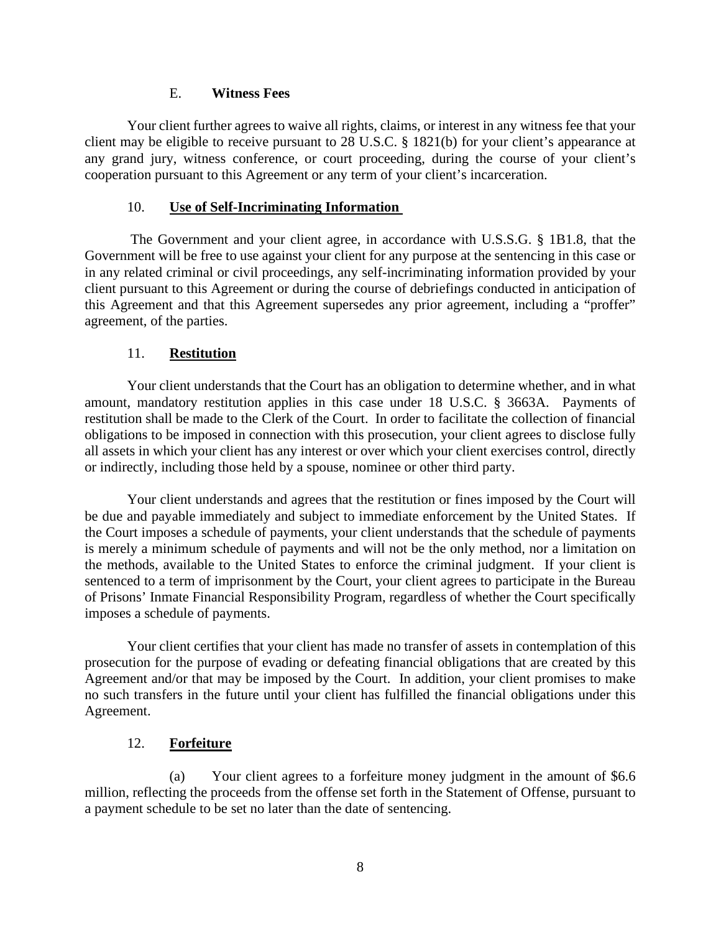#### E. **Witness Fees**

Your client further agrees to waive all rights, claims, or interest in any witness fee that your client may be eligible to receive pursuant to 28 U.S.C. § 1821(b) for your client's appearance at any grand jury, witness conference, or court proceeding, during the course of your client's cooperation pursuant to this Agreement or any term of your client's incarceration.

## 10. **Use of Self-Incriminating Information**

The Government and your client agree, in accordance with U.S.S.G. § 1B1.8, that the Government will be free to use against your client for any purpose at the sentencing in this case or in any related criminal or civil proceedings, any self-incriminating information provided by your client pursuant to this Agreement or during the course of debriefings conducted in anticipation of this Agreement and that this Agreement supersedes any prior agreement, including a "proffer" agreement, of the parties.

## 11. **Restitution**

Your client understands that the Court has an obligation to determine whether, and in what amount, mandatory restitution applies in this case under 18 U.S.C. § 3663A. Payments of restitution shall be made to the Clerk of the Court. In order to facilitate the collection of financial obligations to be imposed in connection with this prosecution, your client agrees to disclose fully all assets in which your client has any interest or over which your client exercises control, directly or indirectly, including those held by a spouse, nominee or other third party.

Your client understands and agrees that the restitution or fines imposed by the Court will be due and payable immediately and subject to immediate enforcement by the United States. If the Court imposes a schedule of payments, your client understands that the schedule of payments is merely a minimum schedule of payments and will not be the only method, nor a limitation on the methods, available to the United States to enforce the criminal judgment. If your client is sentenced to a term of imprisonment by the Court, your client agrees to participate in the Bureau of Prisons' Inmate Financial Responsibility Program, regardless of whether the Court specifically imposes a schedule of payments.

Your client certifies that your client has made no transfer of assets in contemplation of this prosecution for the purpose of evading or defeating financial obligations that are created by this Agreement and/or that may be imposed by the Court. In addition, your client promises to make no such transfers in the future until your client has fulfilled the financial obligations under this Agreement.

# 12. **Forfeiture**

(a) Your client agrees to a forfeiture money judgment in the amount of \$6.6 million, reflecting the proceeds from the offense set forth in the Statement of Offense, pursuant to a payment schedule to be set no later than the date of sentencing.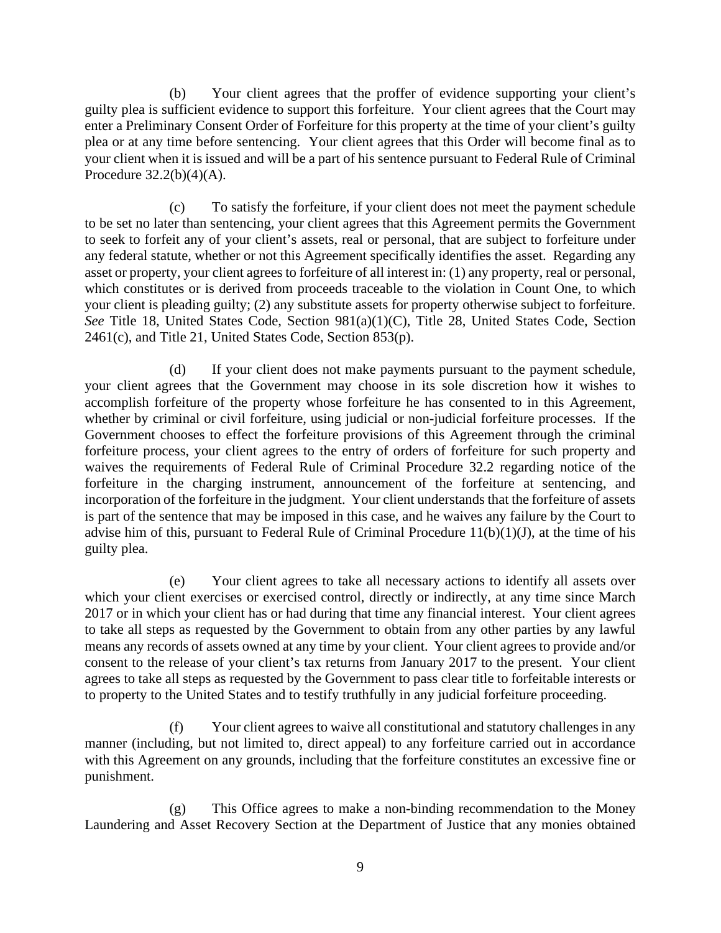(b) Your client agrees that the proffer of evidence supporting your client's guilty plea is sufficient evidence to support this forfeiture. Your client agrees that the Court may enter a Preliminary Consent Order of Forfeiture for this property at the time of your client's guilty plea or at any time before sentencing. Your client agrees that this Order will become final as to your client when it is issued and will be a part of his sentence pursuant to Federal Rule of Criminal Procedure 32.2(b)(4)(A).

(c) To satisfy the forfeiture, if your client does not meet the payment schedule to be set no later than sentencing, your client agrees that this Agreement permits the Government to seek to forfeit any of your client's assets, real or personal, that are subject to forfeiture under any federal statute, whether or not this Agreement specifically identifies the asset. Regarding any asset or property, your client agrees to forfeiture of all interest in: (1) any property, real or personal, which constitutes or is derived from proceeds traceable to the violation in Count One, to which your client is pleading guilty; (2) any substitute assets for property otherwise subject to forfeiture. *See* Title 18, United States Code, Section 981(a)(1)(C), Title 28, United States Code, Section 2461(c), and Title 21, United States Code, Section 853(p).

(d) If your client does not make payments pursuant to the payment schedule, your client agrees that the Government may choose in its sole discretion how it wishes to accomplish forfeiture of the property whose forfeiture he has consented to in this Agreement, whether by criminal or civil forfeiture, using judicial or non-judicial forfeiture processes. If the Government chooses to effect the forfeiture provisions of this Agreement through the criminal forfeiture process, your client agrees to the entry of orders of forfeiture for such property and waives the requirements of Federal Rule of Criminal Procedure 32.2 regarding notice of the forfeiture in the charging instrument, announcement of the forfeiture at sentencing, and incorporation of the forfeiture in the judgment. Your client understands that the forfeiture of assets is part of the sentence that may be imposed in this case, and he waives any failure by the Court to advise him of this, pursuant to Federal Rule of Criminal Procedure  $11(b)(1)(J)$ , at the time of his guilty plea.

(e) Your client agrees to take all necessary actions to identify all assets over which your client exercises or exercised control, directly or indirectly, at any time since March 2017 or in which your client has or had during that time any financial interest. Your client agrees to take all steps as requested by the Government to obtain from any other parties by any lawful means any records of assets owned at any time by your client. Your client agrees to provide and/or consent to the release of your client's tax returns from January 2017 to the present. Your client agrees to take all steps as requested by the Government to pass clear title to forfeitable interests or to property to the United States and to testify truthfully in any judicial forfeiture proceeding.

(f) Your client agrees to waive all constitutional and statutory challenges in any manner (including, but not limited to, direct appeal) to any forfeiture carried out in accordance with this Agreement on any grounds, including that the forfeiture constitutes an excessive fine or punishment.

(g) This Office agrees to make a non-binding recommendation to the Money Laundering and Asset Recovery Section at the Department of Justice that any monies obtained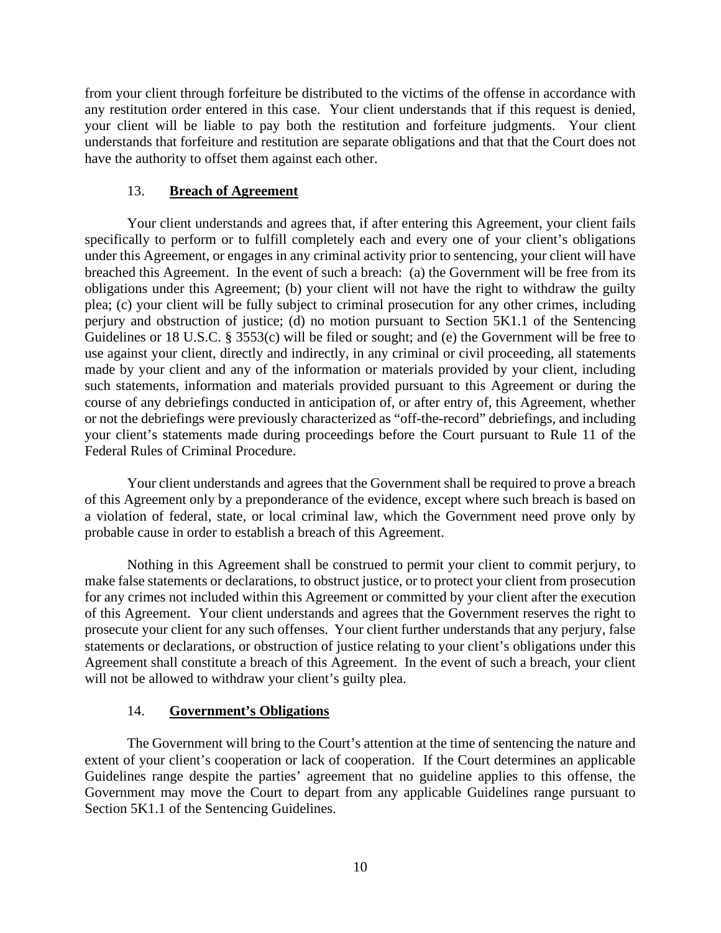from your client through forfeiture be distributed to the victims of the offense in accordance with any restitution order entered in this case. Your client understands that if this request is denied, your client will be liable to pay both the restitution and forfeiture judgments. Your client understands that forfeiture and restitution are separate obligations and that that the Court does not have the authority to offset them against each other.

#### 13. **Breach of Agreement**

Your client understands and agrees that, if after entering this Agreement, your client fails specifically to perform or to fulfill completely each and every one of your client's obligations under this Agreement, or engages in any criminal activity prior to sentencing, your client will have breached this Agreement. In the event of such a breach: (a) the Government will be free from its obligations under this Agreement; (b) your client will not have the right to withdraw the guilty plea; (c) your client will be fully subject to criminal prosecution for any other crimes, including perjury and obstruction of justice; (d) no motion pursuant to Section 5K1.1 of the Sentencing Guidelines or 18 U.S.C. § 3553(c) will be filed or sought; and (e) the Government will be free to use against your client, directly and indirectly, in any criminal or civil proceeding, all statements made by your client and any of the information or materials provided by your client, including such statements, information and materials provided pursuant to this Agreement or during the course of any debriefings conducted in anticipation of, or after entry of, this Agreement, whether or not the debriefings were previously characterized as "off-the-record" debriefings, and including your client's statements made during proceedings before the Court pursuant to Rule 11 of the Federal Rules of Criminal Procedure.

Your client understands and agrees that the Government shall be required to prove a breach of this Agreement only by a preponderance of the evidence, except where such breach is based on a violation of federal, state, or local criminal law, which the Government need prove only by probable cause in order to establish a breach of this Agreement.

Nothing in this Agreement shall be construed to permit your client to commit perjury, to make false statements or declarations, to obstruct justice, or to protect your client from prosecution for any crimes not included within this Agreement or committed by your client after the execution of this Agreement. Your client understands and agrees that the Government reserves the right to prosecute your client for any such offenses. Your client further understands that any perjury, false statements or declarations, or obstruction of justice relating to your client's obligations under this Agreement shall constitute a breach of this Agreement. In the event of such a breach, your client will not be allowed to withdraw your client's guilty plea.

#### 14. **Government's Obligations**

The Government will bring to the Court's attention at the time of sentencing the nature and extent of your client's cooperation or lack of cooperation. If the Court determines an applicable Guidelines range despite the parties' agreement that no guideline applies to this offense, the Government may move the Court to depart from any applicable Guidelines range pursuant to Section 5K1.1 of the Sentencing Guidelines.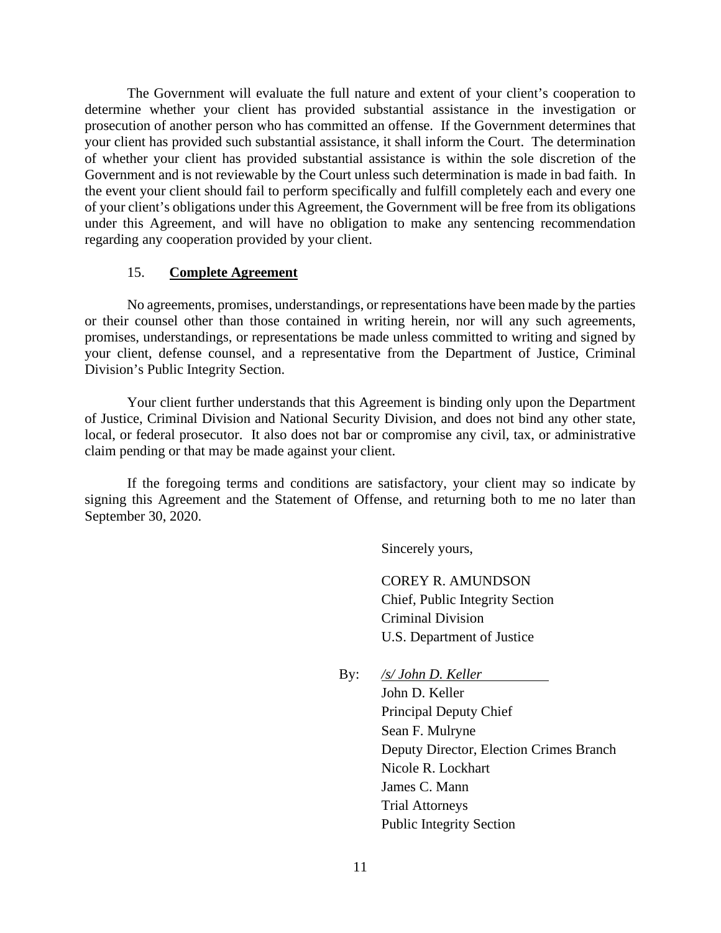The Government will evaluate the full nature and extent of your client's cooperation to determine whether your client has provided substantial assistance in the investigation or prosecution of another person who has committed an offense. If the Government determines that your client has provided such substantial assistance, it shall inform the Court. The determination of whether your client has provided substantial assistance is within the sole discretion of the Government and is not reviewable by the Court unless such determination is made in bad faith. In the event your client should fail to perform specifically and fulfill completely each and every one of your client's obligations under this Agreement, the Government will be free from its obligations under this Agreement, and will have no obligation to make any sentencing recommendation regarding any cooperation provided by your client.

#### 15. **Complete Agreement**

No agreements, promises, understandings, or representations have been made by the parties or their counsel other than those contained in writing herein, nor will any such agreements, promises, understandings, or representations be made unless committed to writing and signed by your client, defense counsel, and a representative from the Department of Justice, Criminal Division's Public Integrity Section.

Your client further understands that this Agreement is binding only upon the Department of Justice, Criminal Division and National Security Division, and does not bind any other state, local, or federal prosecutor. It also does not bar or compromise any civil, tax, or administrative claim pending or that may be made against your client.

If the foregoing terms and conditions are satisfactory, your client may so indicate by signing this Agreement and the Statement of Offense, and returning both to me no later than September 30, 2020.

Sincerely yours,

COREY R. AMUNDSON Chief, Public Integrity Section Criminal Division U.S. Department of Justice

By: */s/ John D. Keller*

John D. Keller Principal Deputy Chief Sean F. Mulryne Deputy Director, Election Crimes Branch Nicole R. Lockhart James C. Mann Trial Attorneys Public Integrity Section